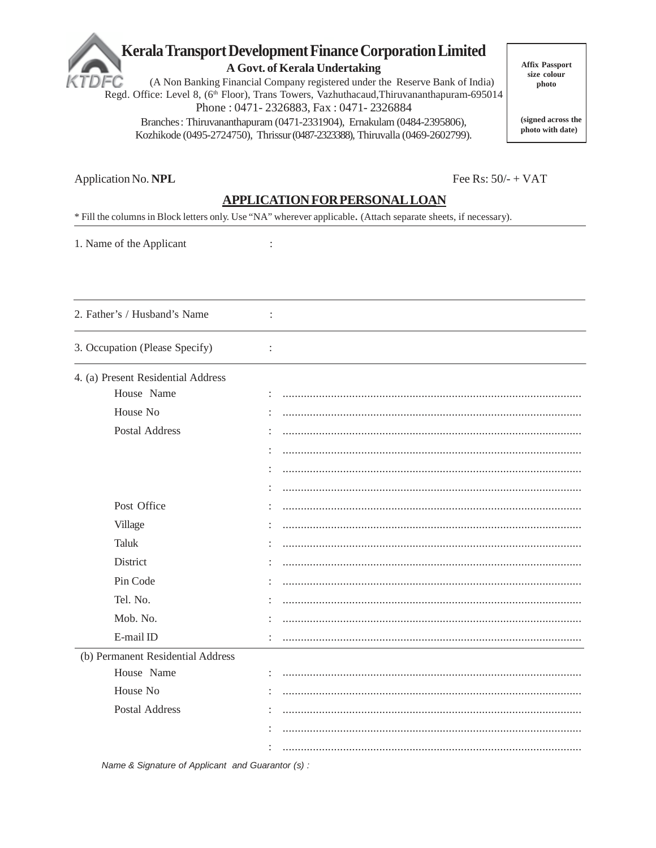# Kerala Transport Development Finance Corporation Limited

A Govt. of Kerala Undertaking

(A Non Banking Financial Company registered under the Reserve Bank of India) FC Regd. Office: Level 8, (6<sup>th</sup> Floor), Trans Towers, Vazhuthacaud, Thiruvananthapuram-695014 Phone: 0471-2326883, Fax: 0471-2326884 Branches: Thiruvananthapuram (0471-2331904), Ernakulam (0484-2395806),

Kozhikode (0495-2724750), Thrissur (0487-2323388), Thiruvalla (0469-2602799).

**Affix Passport** size colour photo

(signed across the photo with date)

Fee Rs:  $50/- + VAT$ 

Application No. NPL

### APPLICATION FOR PERSONAL LOAN

\* Fill the columns in Block letters only. Use "NA" wherever applicable. (Attach separate sheets, if necessary).

 $\ddot{\cdot}$ 

 $\ddot{\cdot}$ 

 $\ddot{\cdot}$ 

1. Name of the Applicant

2. Father's / Husband's Name

3. Occupation (Please Specify)

|  | 4. (a) Present Residential Address |  |
|--|------------------------------------|--|
|  |                                    |  |

| House Name                        |  |
|-----------------------------------|--|
| House No                          |  |
| Postal Address                    |  |
|                                   |  |
|                                   |  |
|                                   |  |
| Post Office                       |  |
| Village                           |  |
| Taluk                             |  |
| District                          |  |
| Pin Code                          |  |
| Tel. No.                          |  |
| Mob. No.                          |  |
| E-mail ID                         |  |
| (b) Permanent Residential Address |  |
| House Name                        |  |
| House No                          |  |
| <b>Postal Address</b>             |  |
|                                   |  |
|                                   |  |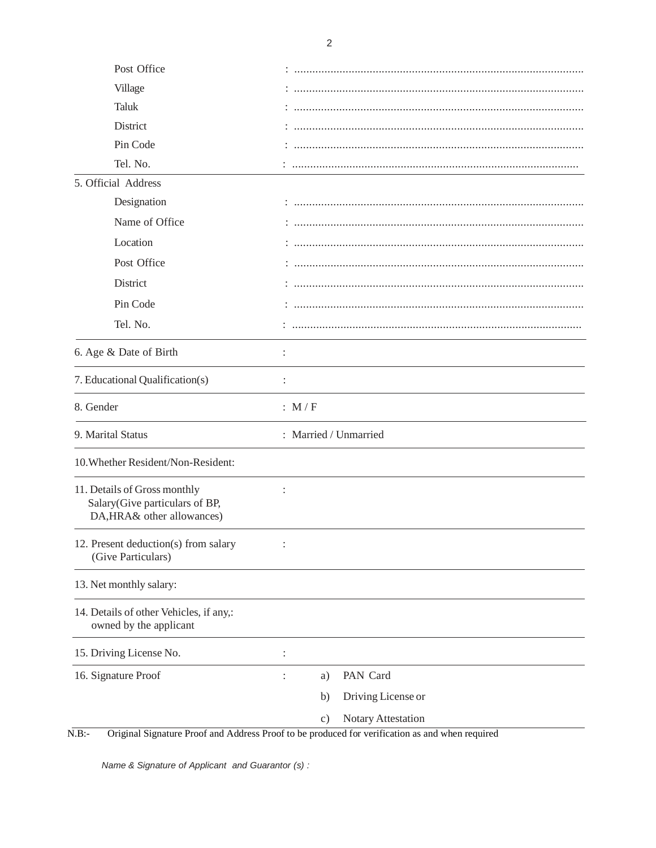| Post Office                                                                                  |                                     |
|----------------------------------------------------------------------------------------------|-------------------------------------|
| Village                                                                                      |                                     |
| Taluk                                                                                        |                                     |
| District                                                                                     |                                     |
| Pin Code                                                                                     |                                     |
| Tel. No.                                                                                     |                                     |
| 5. Official Address                                                                          |                                     |
| Designation                                                                                  |                                     |
| Name of Office                                                                               |                                     |
| Location                                                                                     |                                     |
| Post Office                                                                                  |                                     |
| District                                                                                     |                                     |
| Pin Code                                                                                     |                                     |
| Tel. No.                                                                                     |                                     |
| 6. Age & Date of Birth                                                                       |                                     |
| 7. Educational Qualification(s)                                                              |                                     |
| 8. Gender                                                                                    | : $M/F$                             |
| 9. Marital Status                                                                            | : Married / Unmarried               |
| 10. Whether Resident/Non-Resident:                                                           |                                     |
| 11. Details of Gross monthly<br>Salary(Give particulars of BP,<br>DA, HRA& other allowances) |                                     |
| 12. Present deduction(s) from salary<br>(Give Particulars)                                   |                                     |
| 13. Net monthly salary:                                                                      |                                     |
| 14. Details of other Vehicles, if any,:<br>owned by the applicant                            |                                     |
| 15. Driving License No.                                                                      | $\ddot{\cdot}$                      |
| 16. Signature Proof                                                                          | PAN Card<br>a)                      |
|                                                                                              | Driving License or<br>b)            |
|                                                                                              | Notary Attestation<br>$\mathbf{c})$ |

N.B:- Original Signature Proof and Address Proof to be produced for verification as and when required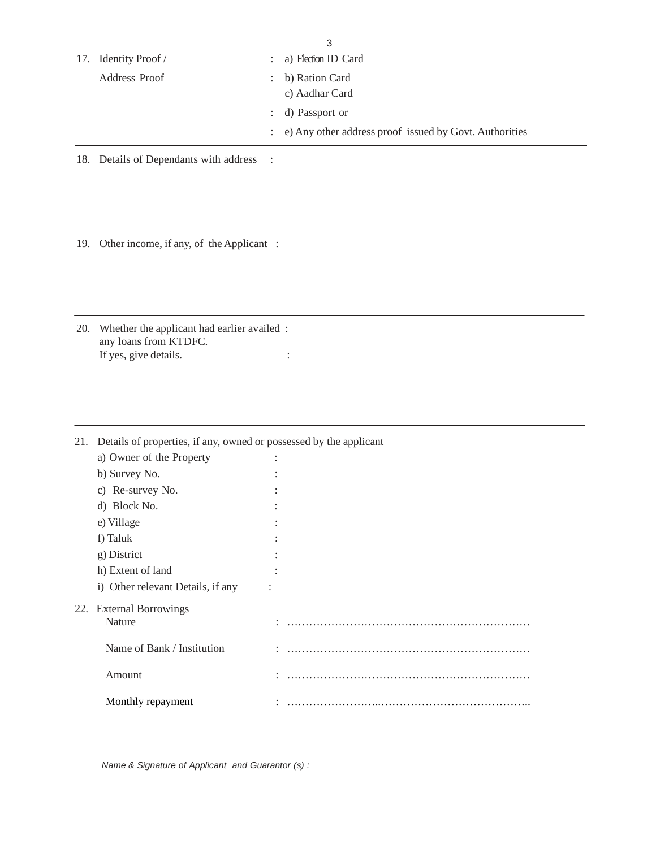|                      |                      | 3                                                                            |
|----------------------|----------------------|------------------------------------------------------------------------------|
| 17. Identity Proof / | $\ddot{\phantom{0}}$ | a) Election ID Card                                                          |
| Address Proof        | $\ddot{\phantom{a}}$ | b) Ration Card<br>c) Aadhar Card                                             |
|                      |                      | : d) Passport or<br>: e) Any other address proof issued by Govt. Authorities |

18. Details of Dependants with address :

19. Other income, if any, of the Applicant :

20. Whether the applicant had earlier availed : any loans from KTDFC. If yes, give details.  $\cdot$  :

| 21. | Details of properties, if any, owned or possessed by the applicant |  |
|-----|--------------------------------------------------------------------|--|
|     | a) Owner of the Property                                           |  |
|     | b) Survey No.                                                      |  |
|     | c) Re-survey No.                                                   |  |
|     | d) Block No.                                                       |  |
|     | e) Village                                                         |  |
|     | f) Taluk                                                           |  |
|     | g) District                                                        |  |
|     | h) Extent of land                                                  |  |
|     | i) Other relevant Details, if any                                  |  |
|     | 22. External Borrowings                                            |  |
|     | Nature                                                             |  |
|     | Name of Bank / Institution                                         |  |
|     | Amount                                                             |  |
|     | Monthly repayment                                                  |  |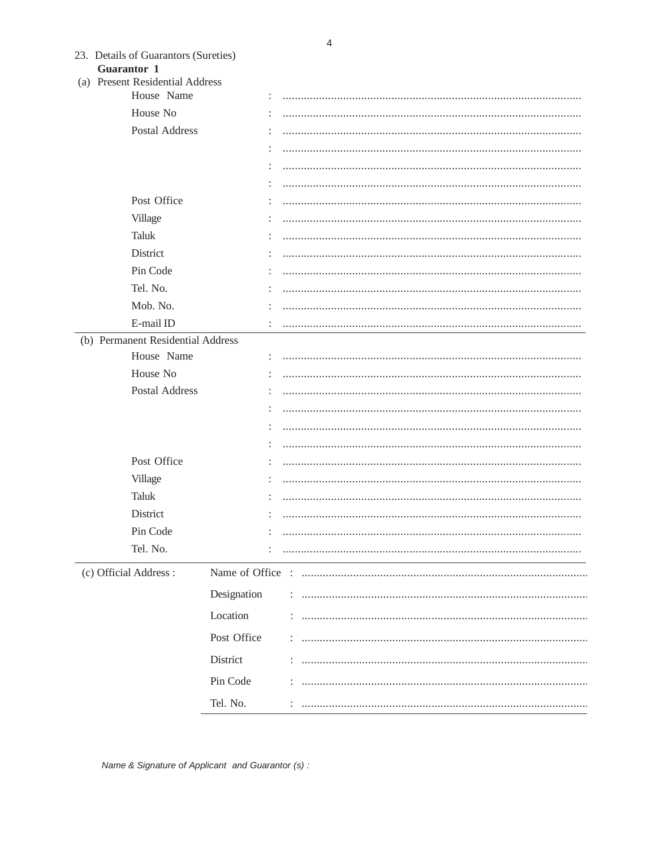| 23. Details of Guarantors (Sureties) |
|--------------------------------------|
| <b>Guarantor 1</b>                   |

(a) Present Residential Address

| (a) Tresent Residential Address   |                      |  |
|-----------------------------------|----------------------|--|
| House Name                        |                      |  |
| House No                          | $\ddot{\phantom{a}}$ |  |
| Postal Address                    |                      |  |
|                                   |                      |  |
|                                   |                      |  |
|                                   |                      |  |
| Post Office                       | ÷                    |  |
| Village                           |                      |  |
| Taluk                             |                      |  |
| District                          |                      |  |
| Pin Code                          |                      |  |
| Tel. No.                          |                      |  |
| Mob. No.                          |                      |  |
| E-mail ID                         | ÷                    |  |
| (b) Permanent Residential Address |                      |  |
| House Name                        |                      |  |
| House No                          |                      |  |
| Postal Address                    | ÷                    |  |
|                                   |                      |  |
|                                   |                      |  |
|                                   |                      |  |
| Post Office                       |                      |  |
| Village                           |                      |  |
| Taluk                             | ÷                    |  |
| District                          |                      |  |
| Pin Code                          |                      |  |
| Tel. No.                          |                      |  |
| (c) Official Address:             |                      |  |
|                                   | Designation          |  |
|                                   | Location             |  |
|                                   | Post Office          |  |
|                                   | District             |  |
|                                   |                      |  |
|                                   | Pin Code             |  |
|                                   | Tel. No.             |  |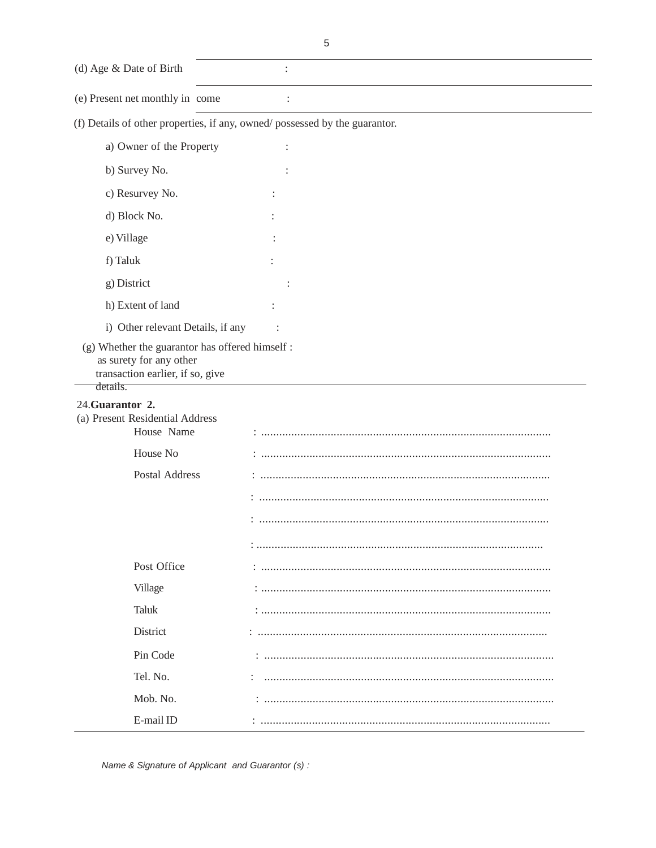(d) Age & Date of Birth  $\ddot{\ddot{\phantom{}}\phantom{}}$ (e) Present net monthly in come  $\ddot{\cdot}$ 

(f) Details of other properties, if any, owned/possessed by the guarantor.

| a) Owner of the Property                                                                                                   |  |
|----------------------------------------------------------------------------------------------------------------------------|--|
| b) Survey No.                                                                                                              |  |
| c) Resurvey No.                                                                                                            |  |
| d) Block No.                                                                                                               |  |
| e) Village                                                                                                                 |  |
| f) Taluk                                                                                                                   |  |
| g) District                                                                                                                |  |
| h) Extent of land                                                                                                          |  |
| i) Other relevant Details, if any                                                                                          |  |
| (g) Whether the guarantor has offered himself :<br>as surety for any other<br>transaction earlier, if so, give<br>details. |  |
| 24. Guarantor 2.                                                                                                           |  |
| (a) Present Residential Address                                                                                            |  |
| House Name                                                                                                                 |  |
| House No                                                                                                                   |  |
| Postal Address                                                                                                             |  |
|                                                                                                                            |  |
|                                                                                                                            |  |
|                                                                                                                            |  |
| Post Office                                                                                                                |  |
| Village                                                                                                                    |  |
| Taluk                                                                                                                      |  |
| District                                                                                                                   |  |
| Pin Code                                                                                                                   |  |
| Tel. No.                                                                                                                   |  |
| Mob. No.                                                                                                                   |  |
| E-mail ID                                                                                                                  |  |
|                                                                                                                            |  |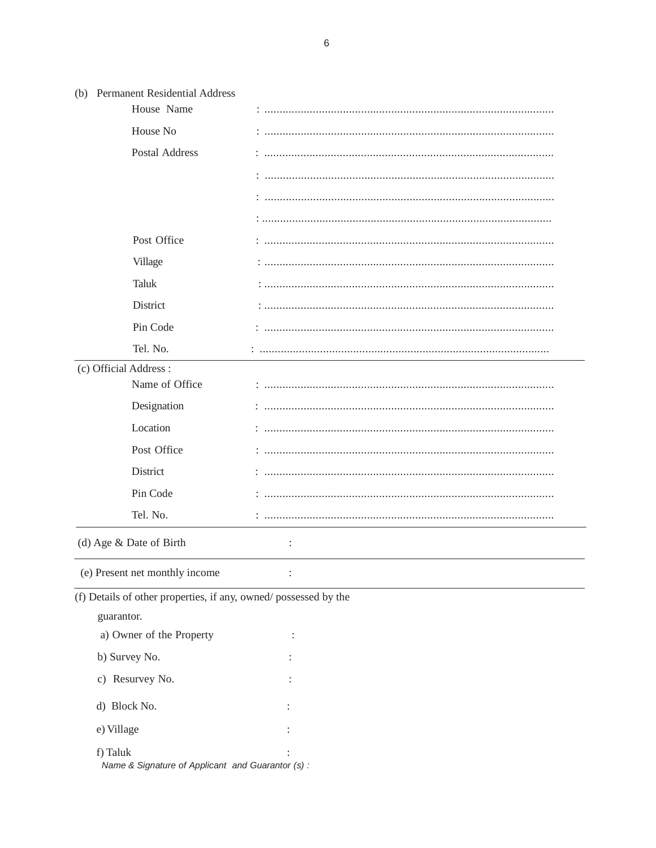| (b) Permanent Residential Address                               |                |
|-----------------------------------------------------------------|----------------|
| House Name                                                      |                |
| House No                                                        |                |
| <b>Postal Address</b>                                           |                |
|                                                                 |                |
|                                                                 |                |
|                                                                 |                |
| Post Office                                                     |                |
| Village                                                         |                |
| <b>Taluk</b>                                                    |                |
| District                                                        |                |
| Pin Code                                                        |                |
| Tel. No.                                                        |                |
| (c) Official Address:                                           |                |
| Name of Office                                                  |                |
| Designation                                                     |                |
| Location                                                        |                |
| Post Office                                                     |                |
| District                                                        |                |
| Pin Code                                                        |                |
| Tel. No.                                                        |                |
| (d) Age & Date of Birth                                         | $\ddot{\cdot}$ |
| (e) Present net monthly income                                  |                |
| (f) Details of other properties, if any, owned/possessed by the |                |
| guarantor.                                                      |                |
| a) Owner of the Property                                        |                |
| b) Survey No.                                                   |                |
| c) Resurvey No.                                                 |                |
| d) Block No.                                                    |                |
| e) Village                                                      |                |
| f) Taluk                                                        |                |
| Name & Signature of Applicant and Guarantor (s) :               |                |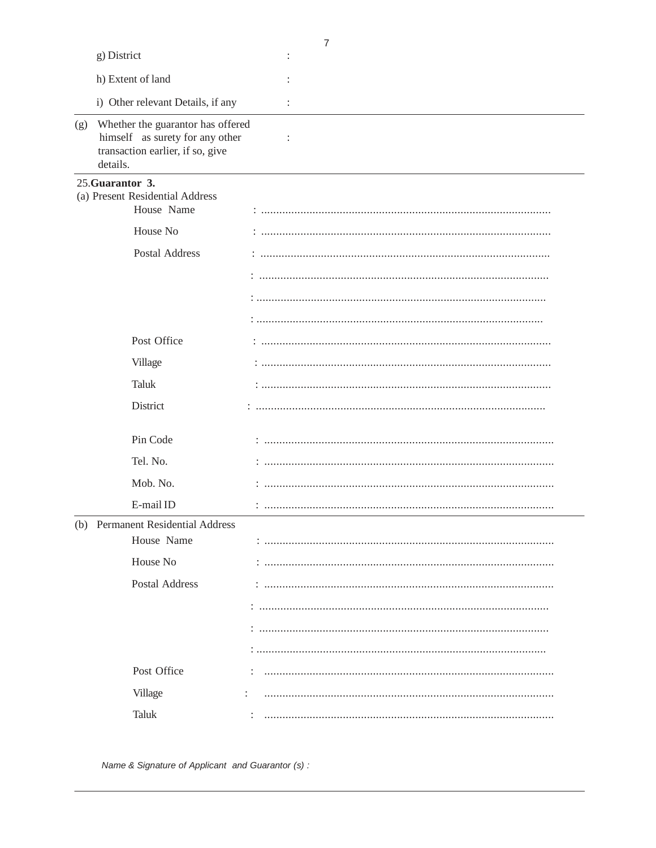|     |                                                                                                                      | 7 |
|-----|----------------------------------------------------------------------------------------------------------------------|---|
|     | g) District                                                                                                          |   |
|     | h) Extent of land                                                                                                    |   |
|     | i) Other relevant Details, if any                                                                                    | : |
| (g) | Whether the guarantor has offered<br>himself as surety for any other<br>transaction earlier, if so, give<br>details. | : |
|     | 25. Guarantor 3.<br>(a) Present Residential Address<br>House Name                                                    |   |
|     | House No                                                                                                             |   |
|     | <b>Postal Address</b>                                                                                                |   |
|     |                                                                                                                      |   |
|     |                                                                                                                      |   |
|     |                                                                                                                      |   |
|     | Post Office                                                                                                          |   |
|     | Village                                                                                                              |   |
|     | Taluk                                                                                                                |   |
|     | District                                                                                                             |   |
|     | Pin Code                                                                                                             |   |
|     | Tel. No.                                                                                                             |   |
|     | Mob. No.                                                                                                             |   |
|     | E-mail ID                                                                                                            |   |
|     | (b) Permanent Residential Address                                                                                    |   |
|     | House Name                                                                                                           |   |
|     | House No                                                                                                             |   |
|     | <b>Postal Address</b>                                                                                                |   |
|     |                                                                                                                      |   |
|     |                                                                                                                      |   |
|     |                                                                                                                      |   |
|     | Post Office                                                                                                          |   |
|     | Village                                                                                                              |   |
|     | <b>Taluk</b>                                                                                                         |   |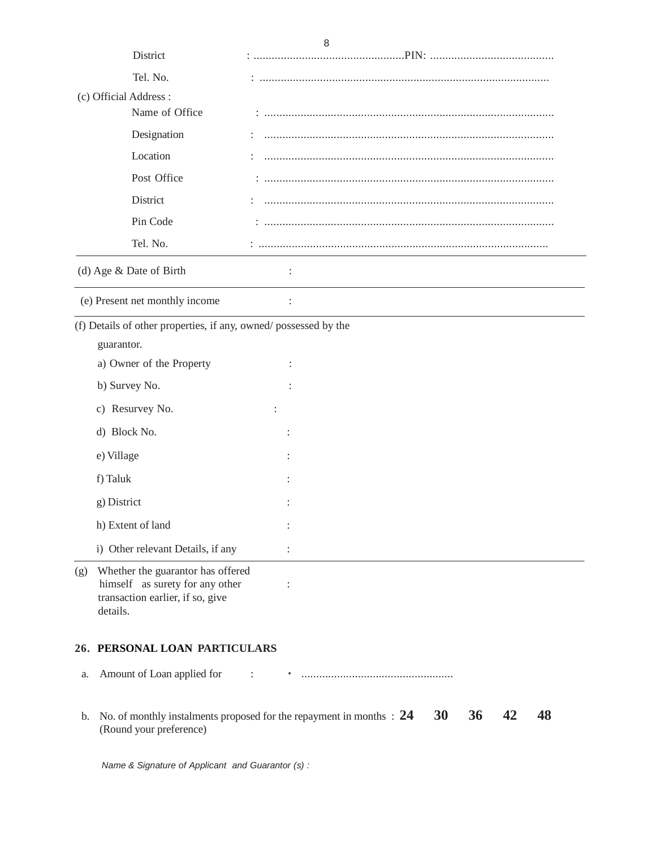|     | District                                                                                                             | 8                                                                                                              |
|-----|----------------------------------------------------------------------------------------------------------------------|----------------------------------------------------------------------------------------------------------------|
|     |                                                                                                                      |                                                                                                                |
|     | Tel. No.                                                                                                             |                                                                                                                |
|     | (c) Official Address:<br>Name of Office                                                                              |                                                                                                                |
|     | Designation                                                                                                          |                                                                                                                |
|     | Location                                                                                                             |                                                                                                                |
|     | Post Office                                                                                                          |                                                                                                                |
|     | District                                                                                                             |                                                                                                                |
|     | Pin Code                                                                                                             |                                                                                                                |
|     | Tel. No.                                                                                                             |                                                                                                                |
|     |                                                                                                                      |                                                                                                                |
|     | (d) Age & Date of Birth                                                                                              |                                                                                                                |
|     | (e) Present net monthly income                                                                                       | $\ddot{\cdot}$                                                                                                 |
|     | (f) Details of other properties, if any, owned/possessed by the                                                      |                                                                                                                |
|     | guarantor.                                                                                                           |                                                                                                                |
|     | a) Owner of the Property                                                                                             |                                                                                                                |
|     | b) Survey No.                                                                                                        |                                                                                                                |
|     | c) Resurvey No.                                                                                                      |                                                                                                                |
|     | d) Block No.                                                                                                         |                                                                                                                |
|     | e) Village                                                                                                           |                                                                                                                |
|     | f) Taluk                                                                                                             |                                                                                                                |
|     | g) District                                                                                                          |                                                                                                                |
|     | h) Extent of land                                                                                                    | $\ddot{\cdot}$                                                                                                 |
|     | i) Other relevant Details, if any                                                                                    |                                                                                                                |
| (g) | Whether the guarantor has offered<br>himself as surety for any other<br>transaction earlier, if so, give<br>details. | $\ddot{\cdot}$                                                                                                 |
|     | 26. PERSONAL LOAN PARTICULARS                                                                                        |                                                                                                                |
| a.  | Amount of Loan applied for                                                                                           | $\ddot{\phantom{a}}$                                                                                           |
| b.  | (Round your preference)                                                                                              | 36<br>48<br><b>30</b><br>42<br>No. of monthly instalments proposed for the repayment in months $\therefore$ 24 |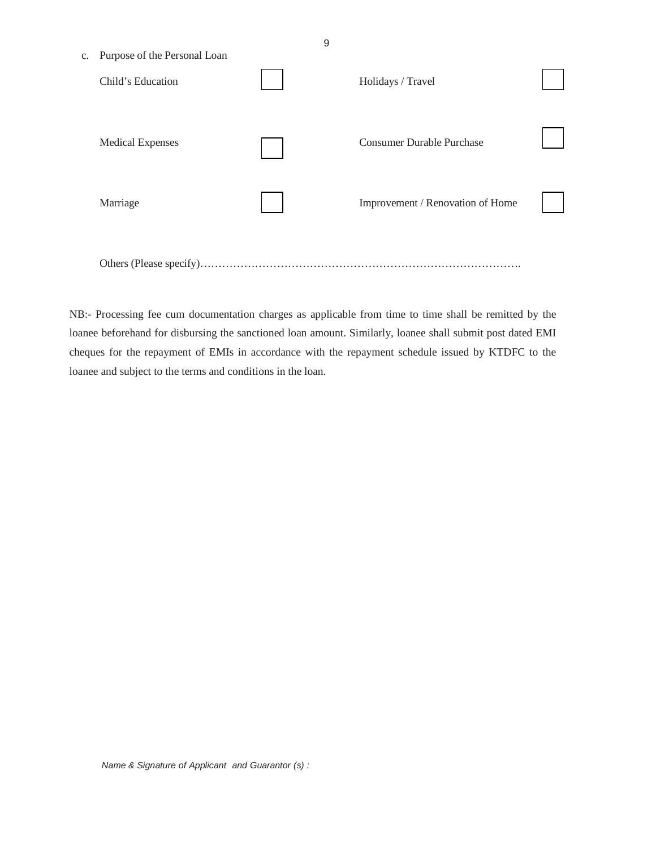| Purpose of the Personal Loan<br>$C_{\star}$ | 9                                |  |
|---------------------------------------------|----------------------------------|--|
| Child's Education                           | Holidays / Travel                |  |
| <b>Medical Expenses</b>                     | <b>Consumer Durable Purchase</b> |  |
| Marriage                                    | Improvement / Renovation of Home |  |
|                                             |                                  |  |

NB:- Processing fee cum documentation charges as applicable from time to time shall be remitted by the loanee beforehand for disbursing the sanctioned loan amount. Similarly, loanee shall submit post dated EMI cheques for the repayment of EMIs in accordance with the repayment schedule issued by KTDFC to the loanee and subject to the terms and conditions in the loan.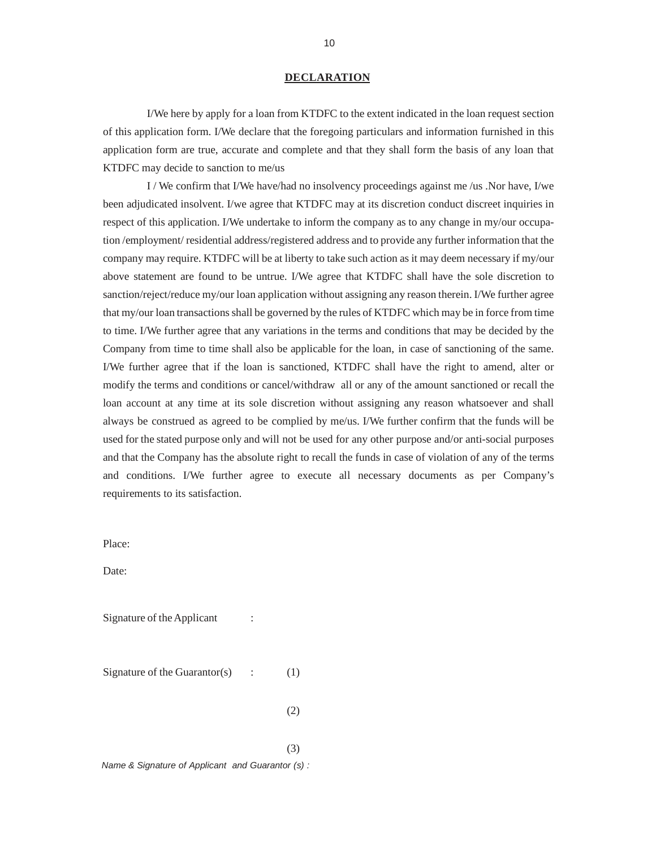#### **DECLARATION**

I/We here by apply for a loan from KTDFC to the extent indicated in the loan request section of this application form. I/We declare that the foregoing particulars and information furnished in this application form are true, accurate and complete and that they shall form the basis of any loan that KTDFC may decide to sanction to me/us

I / We confirm that I/We have/had no insolvency proceedings against me /us .Nor have, I/we been adjudicated insolvent. I/we agree that KTDFC may at its discretion conduct discreet inquiries in respect of this application. I/We undertake to inform the company as to any change in my/our occupation /employment/ residential address/registered address and to provide any further information that the company may require. KTDFC will be at liberty to take such action as it may deem necessary if my/our above statement are found to be untrue. I/We agree that KTDFC shall have the sole discretion to sanction/reject/reduce my/our loan application without assigning any reason therein. I/We further agree that my/our loan transactions shall be governed by the rules of KTDFC which may be in force from time to time. I/We further agree that any variations in the terms and conditions that may be decided by the Company from time to time shall also be applicable for the loan, in case of sanctioning of the same. I/We further agree that if the loan is sanctioned, KTDFC shall have the right to amend, alter or modify the terms and conditions or cancel/withdraw all or any of the amount sanctioned or recall the loan account at any time at its sole discretion without assigning any reason whatsoever and shall always be construed as agreed to be complied by me/us. I/We further confirm that the funds will be used for the stated purpose only and will not be used for any other purpose and/or anti-social purposes and that the Company has the absolute right to recall the funds in case of violation of any of the terms and conditions. I/We further agree to execute all necessary documents as per Company's requirements to its satisfaction.

Place:

Date:

Signature of the Applicant :

Signature of the Guarantor(s)  $\qquad$  : (1)

 $(2)$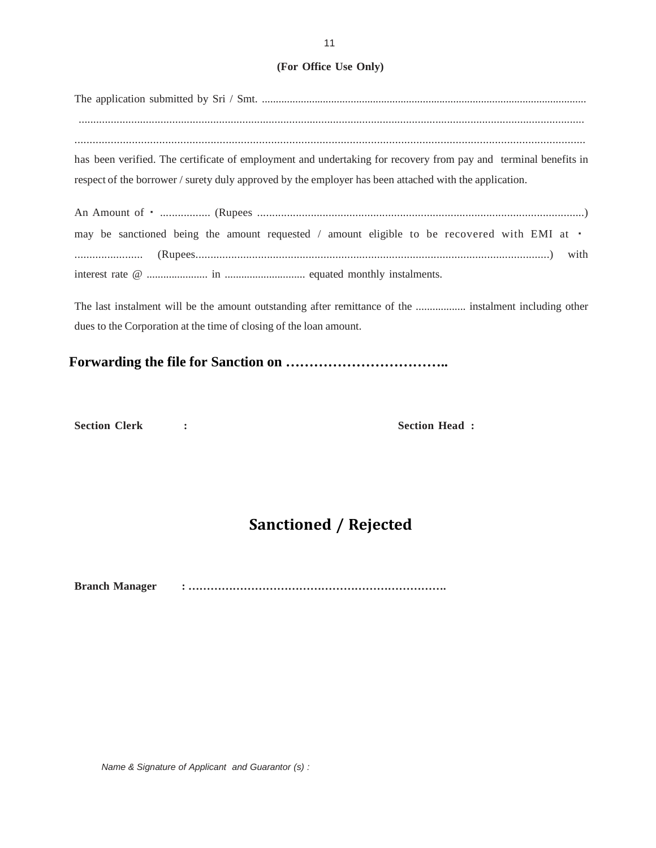#### **(For Office Use Only)**

The application submitted by Sri / Smt. ..................................................................................................................... ............................................................................................................................................................................. ......................................................................................................................................................................... has been verified. The certificate of employment and undertaking for recovery from pay and terminal benefits in respect of the borrower / surety duly approved by the employer has been attached with the application.

An Amount of ₹ ................. (Rupees ..............................................................................................................) may be sanctioned being the amount requested / amount eligible to be recovered with EMI at  $\cdot$ ....................... (Rupees.......................................................................................................................) with interest rate @ ...................... in ............................. equated monthly instalments.

The last instalment will be the amount outstanding after remittance of the .................. instalment including other dues to the Corporation at the time of closing of the loan amount.

## **Forwarding the file for Sanction on ……………………………..**

**Section Clerk : The Section Head :**  Section Head :

## **Sanctioned / Rejected**

**Branch Manager : …………………………………………………………….**